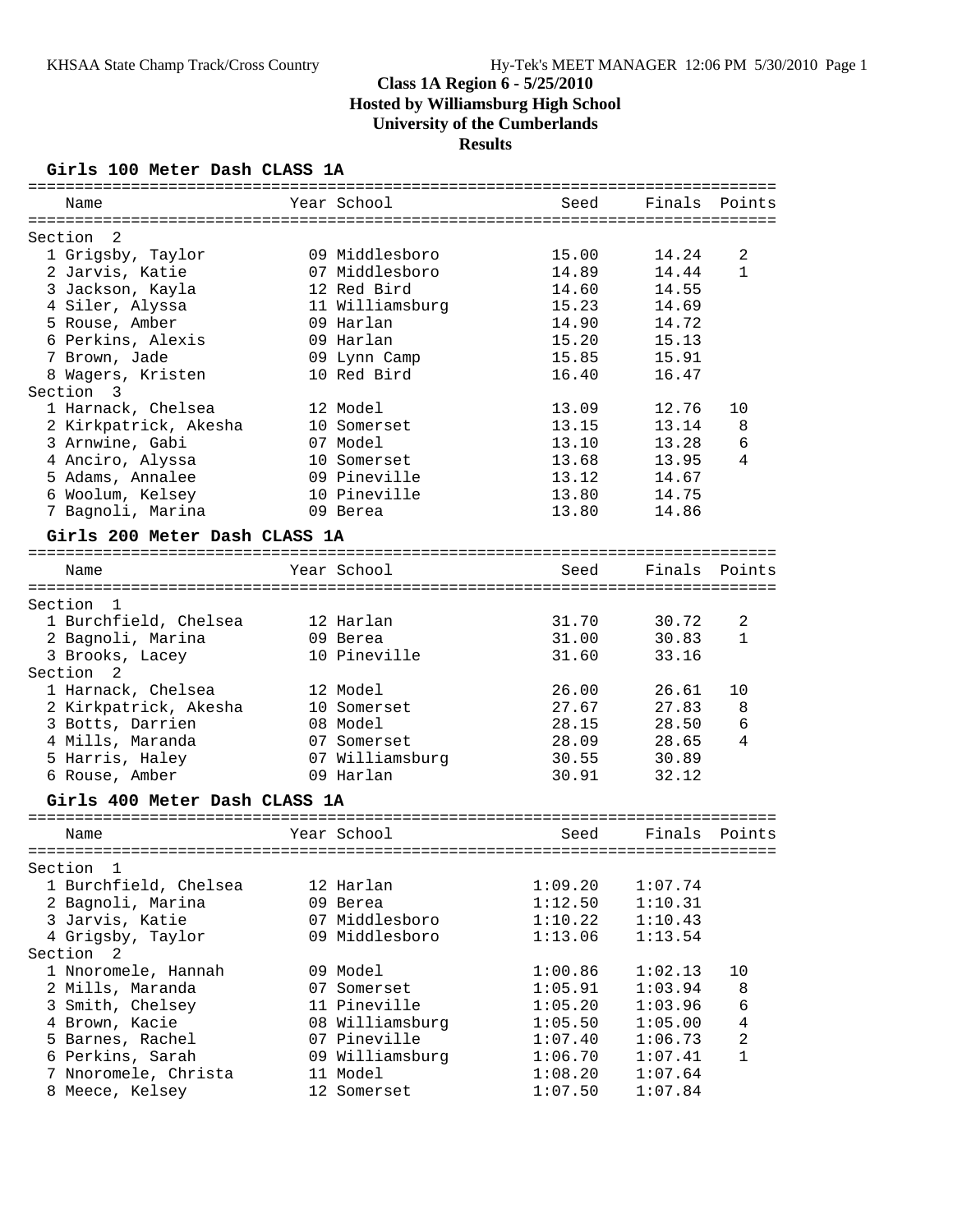#### **Girls 100 Meter Dash CLASS 1A**

| ==========                    |                 |         |         |                |
|-------------------------------|-----------------|---------|---------|----------------|
| Name                          | Year School     | Seed    | Finals  | Points         |
|                               |                 |         |         |                |
| Section<br>- 2                |                 |         |         |                |
| 1 Grigsby, Taylor             | 09 Middlesboro  | 15.00   | 14.24   | 2              |
| 2 Jarvis, Katie               | 07 Middlesboro  | 14.89   | 14.44   | $\mathbf{1}$   |
| 3 Jackson, Kayla              | 12 Red Bird     | 14.60   | 14.55   |                |
| 4 Siler, Alyssa               | 11 Williamsburg | 15.23   | 14.69   |                |
| 5 Rouse, Amber                | 09 Harlan       | 14.90   | 14.72   |                |
| 6 Perkins, Alexis             | 09 Harlan       | 15.20   | 15.13   |                |
| 7 Brown, Jade                 | 09 Lynn Camp    | 15.85   | 15.91   |                |
| 8 Wagers, Kristen             | 10 Red Bird     | 16.40   | 16.47   |                |
| Section<br>3                  |                 |         |         |                |
| 1 Harnack, Chelsea            | 12 Model        | 13.09   | 12.76   | 10             |
| 2 Kirkpatrick, Akesha         | 10 Somerset     | 13.15   | 13.14   | 8              |
| 3 Arnwine, Gabi               | 07 Model        | 13.10   | 13.28   | 6              |
| 4 Anciro, Alyssa              | 10 Somerset     | 13.68   | 13.95   | 4              |
| 5 Adams, Annalee              | 09 Pineville    | 13.12   | 14.67   |                |
| 6 Woolum, Kelsey              | 10 Pineville    | 13.80   | 14.75   |                |
| 7 Bagnoli, Marina             | 09 Berea        | 13.80   | 14.86   |                |
| Girls 200 Meter Dash CLASS 1A |                 |         |         |                |
|                               |                 |         |         |                |
| Name                          | Year School     | Seed    | Finals  | Points         |
| Section<br>- 1                |                 |         |         |                |
| 1 Burchfield, Chelsea         | 12 Harlan       | 31.70   | 30.72   | 2              |
| 2 Bagnoli, Marina             | 09 Berea        | 31.00   | 30.83   | 1              |
| 3 Brooks, Lacey               | 10 Pineville    | 31.60   | 33.16   |                |
| Section<br>2                  |                 |         |         |                |
| 1 Harnack, Chelsea            | 12 Model        | 26.00   | 26.61   | 10             |
| 2 Kirkpatrick, Akesha         | 10 Somerset     | 27.67   | 27.83   | 8              |
| 3 Botts, Darrien              | 08 Model        | 28.15   | 28.50   | 6              |
| 4 Mills, Maranda              | 07 Somerset     | 28.09   | 28.65   | 4              |
| 5 Harris, Haley               | 07 Williamsburg | 30.55   | 30.89   |                |
| 6 Rouse, Amber                | 09 Harlan       | 30.91   | 32.12   |                |
| Girls 400 Meter Dash CLASS 1A |                 |         |         |                |
|                               |                 |         |         |                |
| Name                          | Year School     | Seed    | Finals  | Points         |
| ======================        |                 |         |         |                |
| Section<br>- 1                |                 |         |         |                |
| 1 Burchfield, Chelsea         | 12 Harlan       | 1:09.20 | 1:07.74 |                |
| 2 Bagnoli, Marina             | 09 Berea        | 1:12.50 | 1:10.31 |                |
| 3 Jarvis, Katie               | 07 Middlesboro  | 1:10.22 | 1:10.43 |                |
| 4 Grigsby, Taylor             | 09 Middlesboro  | 1:13.06 | 1:13.54 |                |
| Section 2                     |                 |         |         |                |
| 1 Nnoromele, Hannah           | 09 Model        | 1:00.86 | 1:02.13 | 10             |
| 2 Mills, Maranda              | 07 Somerset     | 1:05.91 | 1:03.94 | 8              |
| 3 Smith, Chelsey              | 11 Pineville    | 1:05.20 | 1:03.96 | 6              |
| 4 Brown, Kacie                | 08 Williamsburg | 1:05.50 | 1:05.00 | 4              |
| 5 Barnes, Rachel              | 07 Pineville    | 1:07.40 | 1:06.73 | $\overline{a}$ |
| 6 Perkins, Sarah              | 09 Williamsburg | 1:06.70 | 1:07.41 | $\mathbf{1}$   |
| 7 Nnoromele, Christa          | 11 Model        | 1:08.20 | 1:07.64 |                |
| 8 Meece, Kelsey               | 12 Somerset     | 1:07.50 | 1:07.84 |                |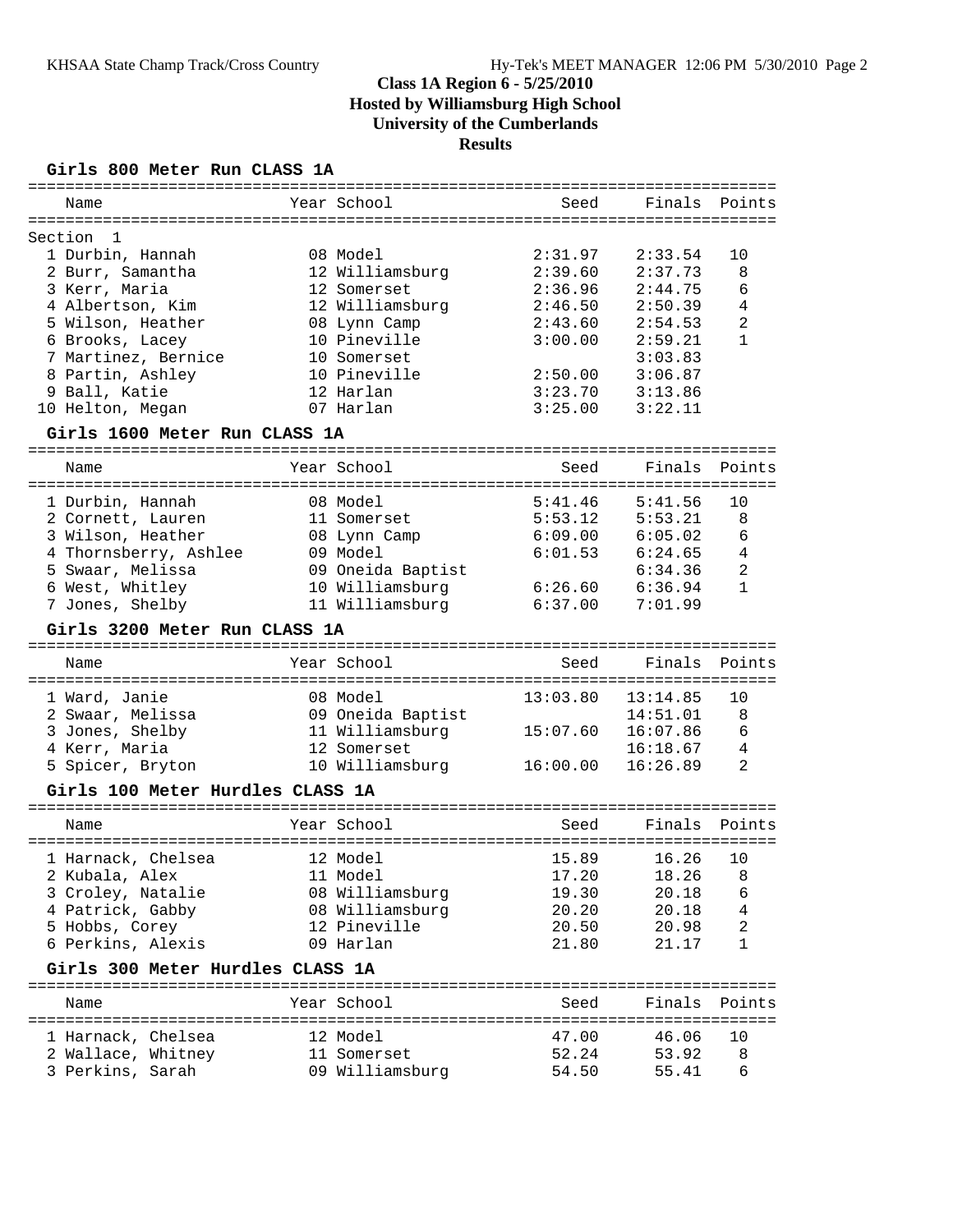#### **Girls 800 Meter Run CLASS 1A**

| Name                                                  | Year School                          | Seed           | Finals            | Points         |
|-------------------------------------------------------|--------------------------------------|----------------|-------------------|----------------|
|                                                       |                                      |                |                   |                |
| Section<br>1                                          |                                      |                |                   |                |
| 1 Durbin, Hannah                                      | 08 Model                             | 2:31.97        | 2:33.54           | 10             |
| 2 Burr, Samantha                                      | 12 Williamsburg                      | 2:39.60        | 2:37.73           | 8              |
| 3 Kerr, Maria                                         | 12 Somerset                          | 2:36.96        | 2:44.75           | 6              |
| 4 Albertson, Kim                                      | 12 Williamsburg                      | 2:46.50        | 2:50.39           | 4              |
| 5 Wilson, Heather                                     | 08 Lynn Camp                         | 2:43.60        | 2:54.53           | $\overline{2}$ |
| 6 Brooks, Lacey                                       | 10 Pineville                         | 3:00.00        | 2:59.21           | $\mathbf{1}$   |
| 7 Martinez, Bernice                                   | 10 Somerset                          |                | 3:03.83           |                |
| 8 Partin, Ashley                                      | 10 Pineville                         | 2:50.00        | 3:06.87           |                |
| 9 Ball, Katie                                         | 12 Harlan                            | 3:23.70        | 3:13.86           |                |
| 10 Helton, Megan                                      | 07 Harlan                            | 3:25.00        | 3:22.11           |                |
| Girls 1600 Meter Run CLASS 1A                         |                                      |                |                   |                |
| Name                                                  | Year School                          | Seed           | Finals            | Points         |
|                                                       | ==================================== |                |                   | ==========     |
| 1 Durbin, Hannah                                      | 08 Model                             | 5:41.46        | 5:41.56           | 10             |
| 2 Cornett, Lauren                                     | 11 Somerset                          | 5:53.12        | 5:53.21           | 8              |
| 3 Wilson, Heather                                     | 08 Lynn Camp                         | 6:09.00        | 6:05.02           | 6              |
| 4 Thornsberry, Ashlee                                 | 09 Model                             | 6:01.53        | 6:24.65           | 4              |
| 5 Swaar, Melissa                                      | 09 Oneida Baptist                    |                | 6:34.36           | 2              |
| 6 West, Whitley                                       | 10 Williamsburg                      | 6:26.60        | 6:36.94           | $\mathbf{1}$   |
| 7 Jones, Shelby                                       | 11 Williamsburg                      | 6:37.00        | 7:01.99           |                |
| Girls 3200 Meter Run CLASS 1A                         |                                      |                |                   |                |
| Name                                                  | Year School                          |                |                   | Points         |
|                                                       |                                      | Seed           | Finals            |                |
|                                                       |                                      |                |                   |                |
| 1 Ward, Janie                                         | 08 Model                             | 13:03.80       | 13:14.85          | 10             |
| 2 Swaar, Melissa                                      | 09 Oneida Baptist                    |                | 14:51.01          | 8              |
| 3 Jones, Shelby                                       | 11 Williamsburg                      | 15:07.60       | 16:07.86          | 6              |
| 4 Kerr, Maria                                         | 12 Somerset                          |                | 16:18.67          | 4              |
| 5 Spicer, Bryton                                      | 10 Williamsburg                      | 16:00.00       | 16:26.89          | 2              |
| Girls 100 Meter Hurdles CLASS 1A                      |                                      |                |                   |                |
| Name                                                  | Year School                          | Seed           | Finals            | Points         |
|                                                       |                                      |                |                   |                |
| 1 Harnack, Chelsea                                    | 12 Model                             | 15.89          | 16.26             | 10             |
| 11 Model<br>2 Kubala, Alex                            |                                      |                | 17.20   18.26   8 |                |
| 3 Croley, Natalie                                     | 08 Williamsburg                      | 19.30          | 20.18             | 6              |
| 4 Patrick, Gabby                                      | 08 Williamsburg                      | 20.20          | 20.18             | 4              |
| 5 Hobbs, Corey                                        | 12 Pineville<br>09 Harlan            | 20.50<br>21.80 | 20.98<br>21.17    | 2<br>1         |
| 6 Perkins, Alexis<br>Girls 300 Meter Hurdles CLASS 1A |                                      |                |                   |                |
|                                                       |                                      |                |                   |                |
| Name                                                  | Year School                          | Seed           | Finals            | Points         |
| 1 Harnack, Chelsea                                    | 12 Model                             | 47.00          | 46.06             | 10             |
| 2 Wallace, Whitney<br>3 Perkins, Sarah                | 11 Somerset                          | 52.24          | 53.92             | 8              |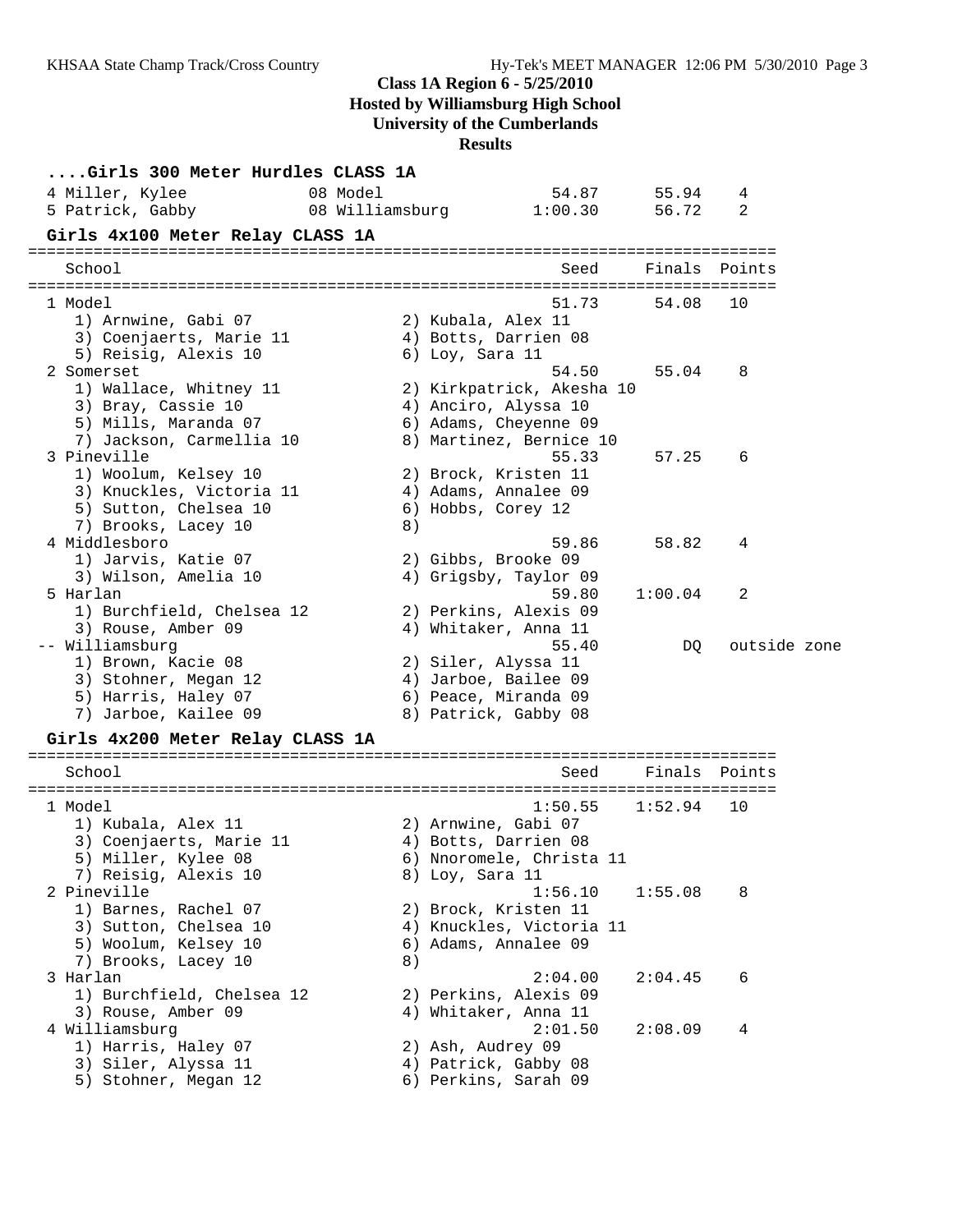### **Class 1A Region 6 - 5/25/2010**

**Hosted by Williamsburg High School**

**University of the Cumberlands**

**Results**

| Girls 300 Meter Hurdles CLASS 1A |                 |                           |         |              |  |
|----------------------------------|-----------------|---------------------------|---------|--------------|--|
| 08 Model<br>4 Miller, Kylee      |                 | 54.87                     | 55.94   | 4            |  |
| 5 Patrick, Gabby                 | 08 Williamsburg | 1:00.30                   | 56.72   | 2            |  |
| Girls 4x100 Meter Relay CLASS 1A |                 |                           |         |              |  |
|                                  |                 |                           |         |              |  |
| School                           |                 | Seed                      | Finals  | Points       |  |
| 1 Model                          |                 | 51.73                     | 54.08   | 10           |  |
| 1) Arnwine, Gabi 07              |                 | 2) Kubala, Alex 11        |         |              |  |
| 3) Coenjaerts, Marie 11          |                 | 4) Botts, Darrien 08      |         |              |  |
| 5) Reisig, Alexis 10             |                 | $6)$ Loy, Sara 11         |         |              |  |
| 2 Somerset                       |                 | 54.50                     | 55.04   | 8            |  |
| 1) Wallace, Whitney 11           |                 | 2) Kirkpatrick, Akesha 10 |         |              |  |
| 3) Bray, Cassie 10               |                 | 4) Anciro, Alyssa 10      |         |              |  |
| 5) Mills, Maranda 07             |                 | 6) Adams, Cheyenne 09     |         |              |  |
| 7) Jackson, Carmellia 10         |                 | 8) Martinez, Bernice 10   |         |              |  |
| 3 Pineville                      |                 | 55.33                     | 57.25   | 6            |  |
| 1) Woolum, Kelsey 10             |                 | 2) Brock, Kristen 11      |         |              |  |
| 3) Knuckles, Victoria 11         |                 | 4) Adams, Annalee 09      |         |              |  |
| 5) Sutton, Chelsea 10            |                 | 6) Hobbs, Corey 12        |         |              |  |
| 7) Brooks, Lacey 10              | 8)              |                           |         |              |  |
| 4 Middlesboro                    |                 | 59.86                     | 58.82   | 4            |  |
| 1) Jarvis, Katie 07              |                 | 2) Gibbs, Brooke 09       |         |              |  |
| 3) Wilson, Amelia 10             |                 | 4) Grigsby, Taylor 09     |         |              |  |
| 5 Harlan                         |                 | 59.80                     | 1:00.04 | 2            |  |
| 1) Burchfield, Chelsea 12        |                 | 2) Perkins, Alexis 09     |         |              |  |
| 3) Rouse, Amber 09               |                 | 4) Whitaker, Anna 11      |         |              |  |
| -- Williamsburg                  |                 | 55.40                     | DQ      | outside zone |  |
| 1) Brown, Kacie 08               |                 | 2) Siler, Alyssa 11       |         |              |  |
| 3) Stohner, Megan 12             |                 | 4) Jarboe, Bailee 09      |         |              |  |
| 5) Harris, Haley 07              |                 | 6) Peace, Miranda 09      |         |              |  |
| 7) Jarboe, Kailee 09             |                 | 8) Patrick, Gabby 08      |         |              |  |
| Girls 4x200 Meter Relay CLASS 1A |                 |                           |         |              |  |
| School                           |                 | Seed                      | Finals  | Points       |  |
|                                  |                 |                           |         |              |  |
| 1 Model                          |                 | 1:50.55                   | 1:52.94 | 10           |  |
| 1) Kubala, Alex 11               |                 | 2) Arnwine, Gabi 07       |         |              |  |
| 3) Coenjaerts, Marie 11          |                 | 4) Botts, Darrien 08      |         |              |  |
| 5) Miller, Kylee 08              |                 | 6) Nnoromele, Christa 11  |         |              |  |
| 7) Reisig, Alexis 10             |                 | 8) Loy, Sara 11           |         |              |  |
| 2 Pineville                      |                 | 1:56.10                   | 1:55.08 | 8            |  |
| 1) Barnes, Rachel 07             |                 | 2) Brock, Kristen 11      |         |              |  |
| 3) Sutton, Chelsea 10            |                 | 4) Knuckles, Victoria 11  |         |              |  |
| 5) Woolum, Kelsey 10             |                 | 6) Adams, Annalee 09      |         |              |  |
| 7) Brooks, Lacey 10              | 8)              |                           |         |              |  |
| 3 Harlan                         |                 | 2:04.00                   | 2:04.45 | 6            |  |
| 1) Burchfield, Chelsea 12        |                 | 2) Perkins, Alexis 09     |         |              |  |
| 3) Rouse, Amber 09               |                 | 4) Whitaker, Anna 11      |         |              |  |
| 4 Williamsburg                   |                 | 2:01.50                   | 2:08.09 | 4            |  |
| 1) Harris, Haley 07              |                 | 2) Ash, Audrey 09         |         |              |  |
| 3) Siler, Alyssa 11              |                 | 4) Patrick, Gabby 08      |         |              |  |
| 5) Stohner, Megan 12             |                 | 6) Perkins, Sarah 09      |         |              |  |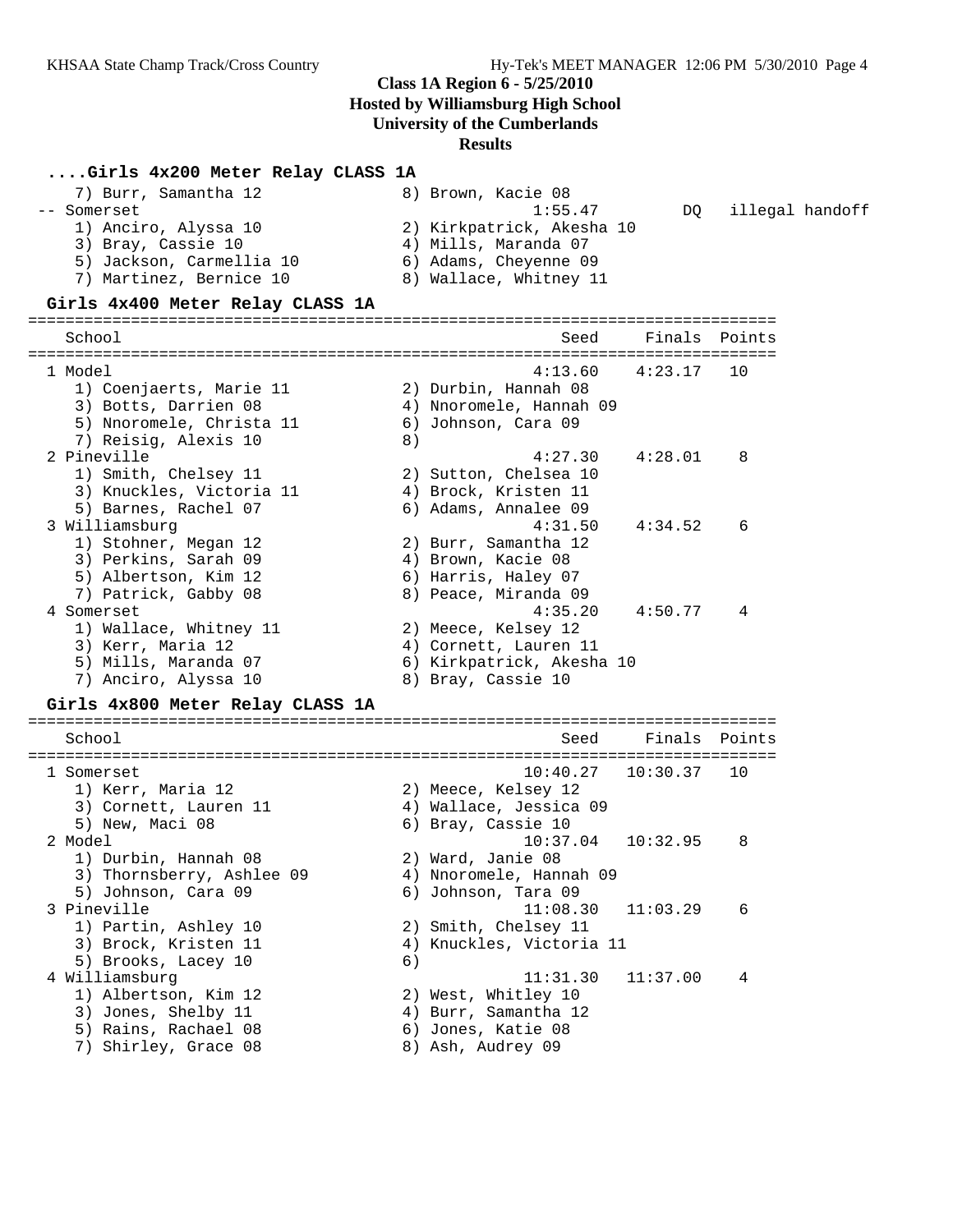#### **....Girls 4x200 Meter Relay CLASS 1A**

| 7) Burr, Samantha 12     | 8) Brown, Kacie 08        |     |                 |
|--------------------------|---------------------------|-----|-----------------|
| -- Somerset              | 1:55.47                   | DO. | illegal handoff |
| 1) Anciro, Alyssa 10     | 2) Kirkpatrick, Akesha 10 |     |                 |
| 3) Bray, Cassie 10       | 4) Mills, Maranda 07      |     |                 |
| 5) Jackson, Carmellia 10 | 6) Adams, Cheyenne 09     |     |                 |
| 7) Martinez, Bernice 10  | 8) Wallace, Whitney 11    |     |                 |

#### **Girls 4x400 Meter Relay CLASS 1A**

================================================================================ School Seed Finals Points ================================================================================ 1 Model 4:13.60 4:23.17 10 1) Coenjaerts, Marie 11 2) Durbin, Hannah 08 3) Botts, Darrien 08 4) Nnoromele, Hannah 09 5) Nnoromele, Christa 11 6) Johnson, Cara 09 7) Reisig, Alexis 10 (8) 2 Pineville 4:27.30 4:28.01 8 1) Smith, Chelsey 11 2) Sutton, Chelsea 10 3) Knuckles, Victoria 11 (4) Brock, Kristen 11 5) Barnes, Rachel 07 (6) Adams, Annalee 09 3 Williamsburg 4:31.50 4:34.52 6 1) Stohner, Megan 12 2) Burr, Samantha 12 3) Perkins, Sarah 09  $\qquad \qquad$  4) Brown, Kacie 08 5) Albertson, Kim 12 6) Harris, Haley 07 7) Patrick, Gabby 08 8) Peace, Miranda 09 4 Somerset 4:35.20 4:50.77 4 1) Wallace, Whitney 11 2) Meece, Kelsey 12 3) Kerr, Maria 12 4) Cornett, Lauren 11 5) Mills, Maranda 07 6) Kirkpatrick, Akesha 10 7) Anciro, Alyssa 10 8) Bray, Cassie 10

#### **Girls 4x800 Meter Relay CLASS 1A**

================================================================================ School School Seed Finals Points ================================================================================ 1 Somerset 10:40.27 10:30.37 10<br>1) Kerr, Maria 12 2) Meece, Kelsey 12 1) Kerr, Maria 12 2) Meece, Kelsey 12 3) Cornett, Lauren 11 4) Wallace, Jessica 09 5) New, Maci 08 6) Bray, Cassie 10 2 Model 10:37.04 10:32.95 8 1) Durbin, Hannah 08 2) Ward, Janie 08 3) Thornsberry, Ashlee 09 4) Nnoromele, Hannah 09 5) Johnson, Cara 09 (6) Johnson, Tara 09 3 Pineville 11:08.30 11:03.29 6 1) Partin, Ashley 10 2) Smith, Chelsey 11 3) Brock, Kristen 11 4) Knuckles, Victoria 11 5) Brooks, Lacey 10 6) 4 Williamsburg 11:31.30 11:37.00 4 1) Albertson, Kim 12 2) West, Whitley 10 3) Jones, Shelby 11  $\hskip10mm$  4) Burr, Samantha 12 5) Rains, Rachael 08 6) Jones, Katie 08 7) Shirley, Grace 08 8) Ash, Audrey 09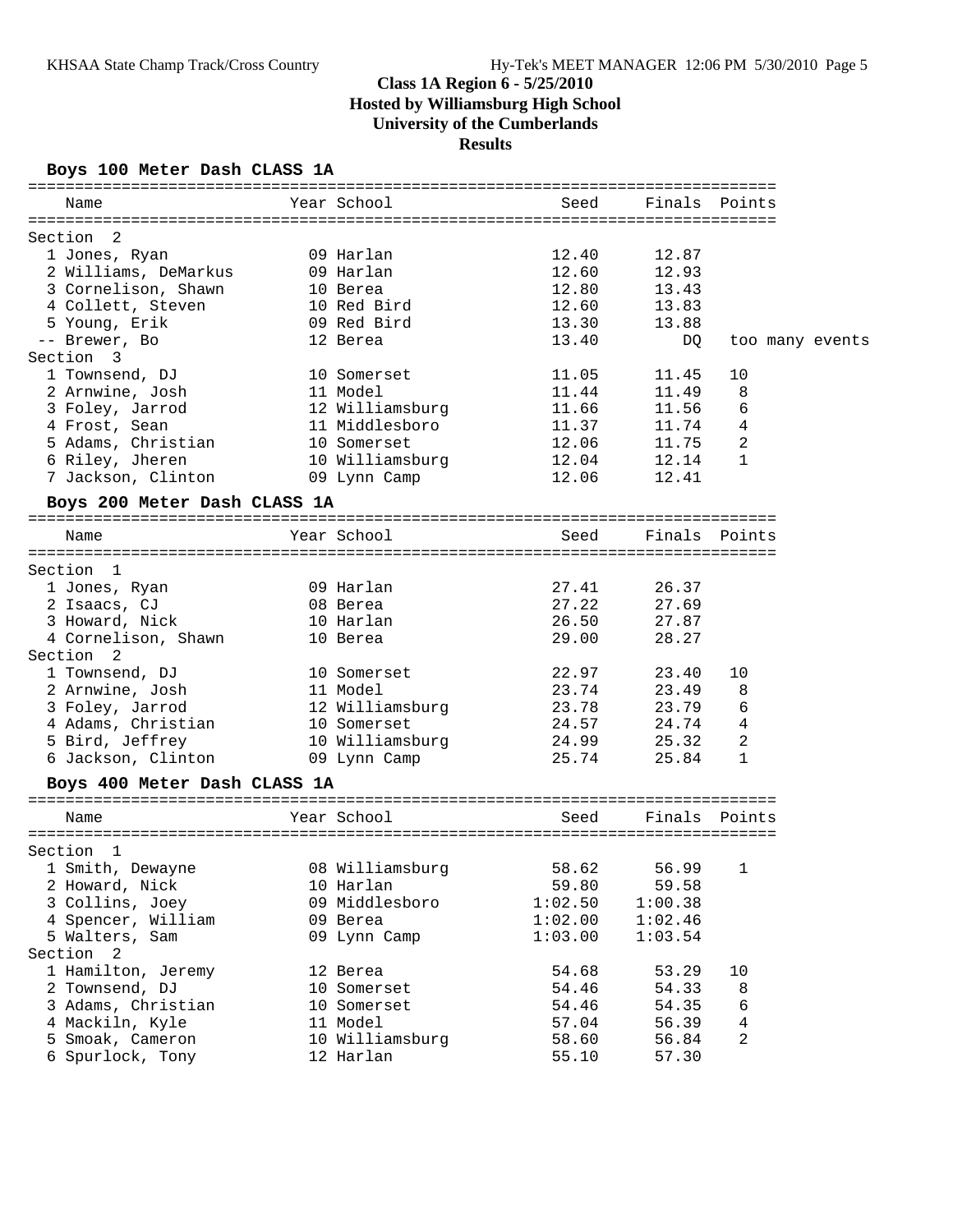### **Boys 100 Meter Dash CLASS 1A**

| Name                                  |             | Year School           | Seed                             |         | Finals Points   |
|---------------------------------------|-------------|-----------------------|----------------------------------|---------|-----------------|
|                                       |             |                       |                                  |         |                 |
| Section<br>$\overline{\phantom{0}}^2$ |             |                       |                                  |         |                 |
| 1 Jones, Ryan                         |             | 09 Harlan             | 12.40                            | 12.87   |                 |
| 2 Williams, DeMarkus 09 Harlan        |             |                       | 12.60                            | 12.93   |                 |
| 3 Cornelison, Shawn                   | 10 Berea    |                       | 12.80                            | 13.43   |                 |
| 4 Collett, Steven                     |             | 10 Red Bird           | 12.60                            | 13.83   |                 |
| 5 Young, Erik                         |             | 09 Red Bird           | 13.30                            | 13.88   |                 |
| -- Brewer, Bo                         |             | 12 Berea              | 13.40                            | DQ.     | too many events |
| Section<br>- 3                        |             |                       |                                  |         |                 |
| 1 Townsend, DJ                        |             | 10 Somerset           | 11.05                            | 11.45   | 10              |
| 2 Arnwine, Josh 11 Model              |             |                       | 11.44                            | 11.49   | 8               |
| 3 Foley, Jarrod 12 Williamsburg 11.66 |             |                       |                                  | 11.56   | 6               |
| 4 Frost, Sean                         |             | 11 Middlesboro        | 11.37                            | 11.74   | 4               |
| 5 Adams, Christian 10 Somerset        |             |                       | 12.06                            | 11.75   | $\mathbf{2}$    |
| 6 Riley, Jheren                       |             | 10 Williamsburg       | 12.04                            | 12.14   | $\mathbf{1}$    |
| 7 Jackson, Clinton                    |             | 09 Lynn Camp          | 12.06                            | 12.41   |                 |
|                                       |             |                       |                                  |         |                 |
| Boys 200 Meter Dash CLASS 1A          |             |                       |                                  |         |                 |
| Name                                  |             | Year School           | Seed                             |         | Finals Points   |
|                                       |             |                       |                                  |         |                 |
| Section 1                             |             |                       |                                  |         |                 |
| 1 Jones, Ryan                         | 09 Harlan   |                       | 27.41                            | 26.37   |                 |
| 2 Isaacs, CJ                          | 08 Berea    |                       | 27.22                            | 27.69   |                 |
| 3 Howard, Nick                        |             | 10 Harlan             | 26.50                            | 27.87   |                 |
| 4 Cornelison, Shawn 10 Berea          |             |                       | 29.00                            | 28.27   |                 |
| Section <sub>2</sub>                  |             |                       |                                  |         |                 |
|                                       | 10 Somerset |                       | 22.97                            | 23.40   | 10              |
| 1 Townsend, DJ                        | 11 Model    |                       | 23.74                            | 23.49   |                 |
| 2 Arnwine, Josh                       |             |                       |                                  |         | 8               |
| 3 Foley, Jarrod                       |             | 12 Williamsburg 23.78 |                                  | 23.79   | 6               |
| 4 Adams, Christian 10 Somerset        |             |                       | 24.57                            | 24.74   | 4               |
| 5 Bird, Jeffrey                       |             | 10 Williamsburg       | 24.99                            | 25.32   | 2               |
| 6 Jackson, Clinton                    |             | 09 Lynn Camp          | 25.74                            | 25.84   | 1               |
| Boys 400 Meter Dash CLASS 1A          |             |                       |                                  |         |                 |
|                                       |             |                       |                                  |         |                 |
| Name                                  |             | Year School           | Seed                             |         | Finals Points   |
|                                       |             |                       | ================================ |         |                 |
| Section 1                             |             |                       |                                  |         |                 |
| 1 Smith, Dewayne 68 Williamsburg      |             |                       | 58.62                            | 56.99   | 1               |
| 2 Howard, Nick                        |             | 10 Harlan             | 59.80                            | 59.58   |                 |
| 3 Collins, Joey                       |             | 09 Middlesboro        | 1:02.50                          | 1:00.38 |                 |
| 4 Spencer, William                    |             | 09 Berea              | 1:02.00                          | 1:02.46 |                 |
| 5 Walters, Sam                        |             | 09 Lynn Camp          | 1:03.00                          | 1:03.54 |                 |
| Section 2                             |             |                       |                                  |         |                 |
| 1 Hamilton, Jeremy                    |             | 12 Berea              | 54.68                            | 53.29   | 10              |
| 2 Townsend, DJ                        |             | 10 Somerset           | 54.46                            | 54.33   | 8               |
| 3 Adams, Christian                    |             | 10 Somerset           | 54.46                            | 54.35   | 6               |
| 4 Mackiln, Kyle                       |             | 11 Model              | 57.04                            | 56.39   | 4               |
| 5 Smoak, Cameron                      |             | 10 Williamsburg       | 58.60                            | 56.84   | 2               |
| 6 Spurlock, Tony                      |             | 12 Harlan             | 55.10                            | 57.30   |                 |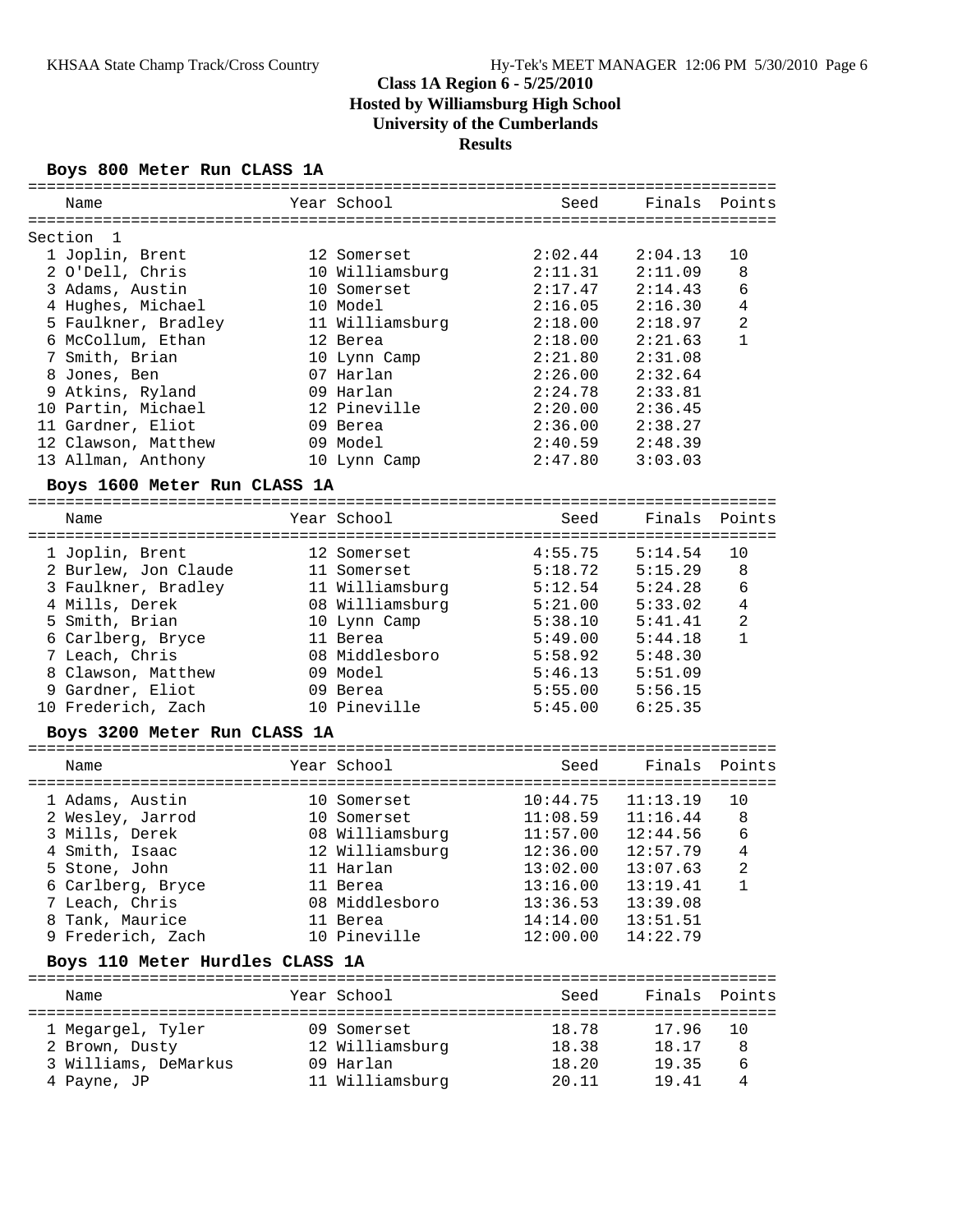### **Boys 800 Meter Run CLASS 1A**

|                                 |                 | ===================                    |          |                |
|---------------------------------|-----------------|----------------------------------------|----------|----------------|
| Name                            | Year School     | Seed                                   | Finals   | Points         |
|                                 |                 |                                        |          |                |
| Section<br>1                    |                 |                                        |          |                |
| 1 Joplin, Brent                 | 12 Somerset     | 2:02.44                                | 2:04.13  | 10             |
| 2 O'Dell, Chris                 | 10 Williamsburg | 2:11.31                                | 2:11.09  | 8              |
| 3 Adams, Austin                 | 10 Somerset     | 2:17.47                                | 2:14.43  | 6              |
| 4 Hughes, Michael               | 10 Model        | 2:16.05                                | 2:16.30  | 4              |
| 5 Faulkner, Bradley             | 11 Williamsburg | 2:18.00                                | 2:18.97  | $\overline{a}$ |
| 6 McCollum, Ethan               | 12 Berea        | 2:18.00                                | 2:21.63  | $\mathbf{1}$   |
| 7 Smith, Brian                  | 10 Lynn Camp    | 2:21.80                                | 2:31.08  |                |
| 8 Jones, Ben                    | 07 Harlan       | 2:26.00                                | 2:32.64  |                |
| 9 Atkins, Ryland                | 09 Harlan       | 2:24.78                                | 2:33.81  |                |
| 10 Partin, Michael              | 12 Pineville    | 2:20.00                                | 2:36.45  |                |
| 11 Gardner, Eliot               | 09 Berea        | 2:36.00                                | 2:38.27  |                |
| 12 Clawson, Matthew             | 09 Model        | 2:40.59                                | 2:48.39  |                |
| 13 Allman, Anthony              |                 | 2:47.80                                | 3:03.03  |                |
|                                 | 10 Lynn Camp    |                                        |          |                |
| Boys 1600 Meter Run CLASS 1A    |                 |                                        |          |                |
| Name                            | Year School     | Seed                                   | Finals   | Points         |
|                                 |                 |                                        |          |                |
| 1 Joplin, Brent                 | 12 Somerset     | 4:55.75                                | 5:14.54  | 10             |
| 2 Burlew, Jon Claude            | 11 Somerset     | 5:18.72                                | 5:15.29  | 8              |
| 3 Faulkner, Bradley             | 11 Williamsburg | 5:12.54                                | 5:24.28  | 6              |
| 4 Mills, Derek                  | 08 Williamsburg | 5:21.00                                | 5:33.02  | 4              |
| 5 Smith, Brian                  | 10 Lynn Camp    | 5:38.10                                | 5:41.41  | $\overline{c}$ |
| 6 Carlberg, Bryce               | 11 Berea        | 5:49.00                                | 5:44.18  | $\mathbf{1}$   |
| 7 Leach, Chris                  | 08 Middlesboro  | 5:58.92                                | 5:48.30  |                |
| 8 Clawson, Matthew              | 09 Model        | 5:46.13                                | 5:51.09  |                |
| 9 Gardner, Eliot                | 09 Berea        | 5:55.00                                | 5:56.15  |                |
|                                 | 10 Pineville    |                                        |          |                |
| 10 Frederich, Zach              |                 | 5:45.00                                | 6:25.35  |                |
| Boys 3200 Meter Run CLASS 1A    |                 |                                        |          |                |
| Name                            | Year School     | Seed                                   | Finals   | Points         |
|                                 |                 | ====================================== |          |                |
| 1 Adams, Austin                 | 10 Somerset     | 10:44.75                               | 11:13.19 | 10             |
| 2 Wesley, Jarrod                | 10 Somerset     | 11:08.59                               | 11:16.44 | 8              |
| 3 Mills, Derek                  | 08 Williamsburg | 11:57.00                               | 12:44.56 | 6              |
| 4 Smith, Isaac                  | 12 Williamsburg | 12:36.00                               | 12:57.79 | $\overline{4}$ |
| 5 Stone, John                   | 11 Harlan       | 13:02.00                               | 13:07.63 | $\overline{2}$ |
| 6 Carlberg, Bryce               | 11 Berea        | 13:16.00                               | 13:19.41 | 1              |
| 7 Leach, Chris                  | 08 Middlesboro  | 13:36.53                               | 13:39.08 |                |
| 8 Tank, Maurice                 | 11 Berea        | 14:14.00                               | 13:51.51 |                |
| 9 Frederich, Zach               | 10 Pineville    | 12:00.00                               | 14:22.79 |                |
| Boys 110 Meter Hurdles CLASS 1A |                 |                                        |          |                |
|                                 |                 |                                        |          |                |
| Name                            | Year School     | Seed                                   | Finals   | Points         |
|                                 |                 |                                        |          | ============   |
| 1 Megargel, Tyler               | 09 Somerset     | 18.78                                  | 17.96    | 10             |
| 2 Brown, Dusty                  | 12 Williamsburg | 18.38                                  | 18.17    | 8              |
| 3 Williams, DeMarkus            | 09 Harlan       | 18.20                                  | 19.35    | 6              |
| 4 Payne, JP                     | 11 Williamsburg | 20.11                                  | 19.41    | 4              |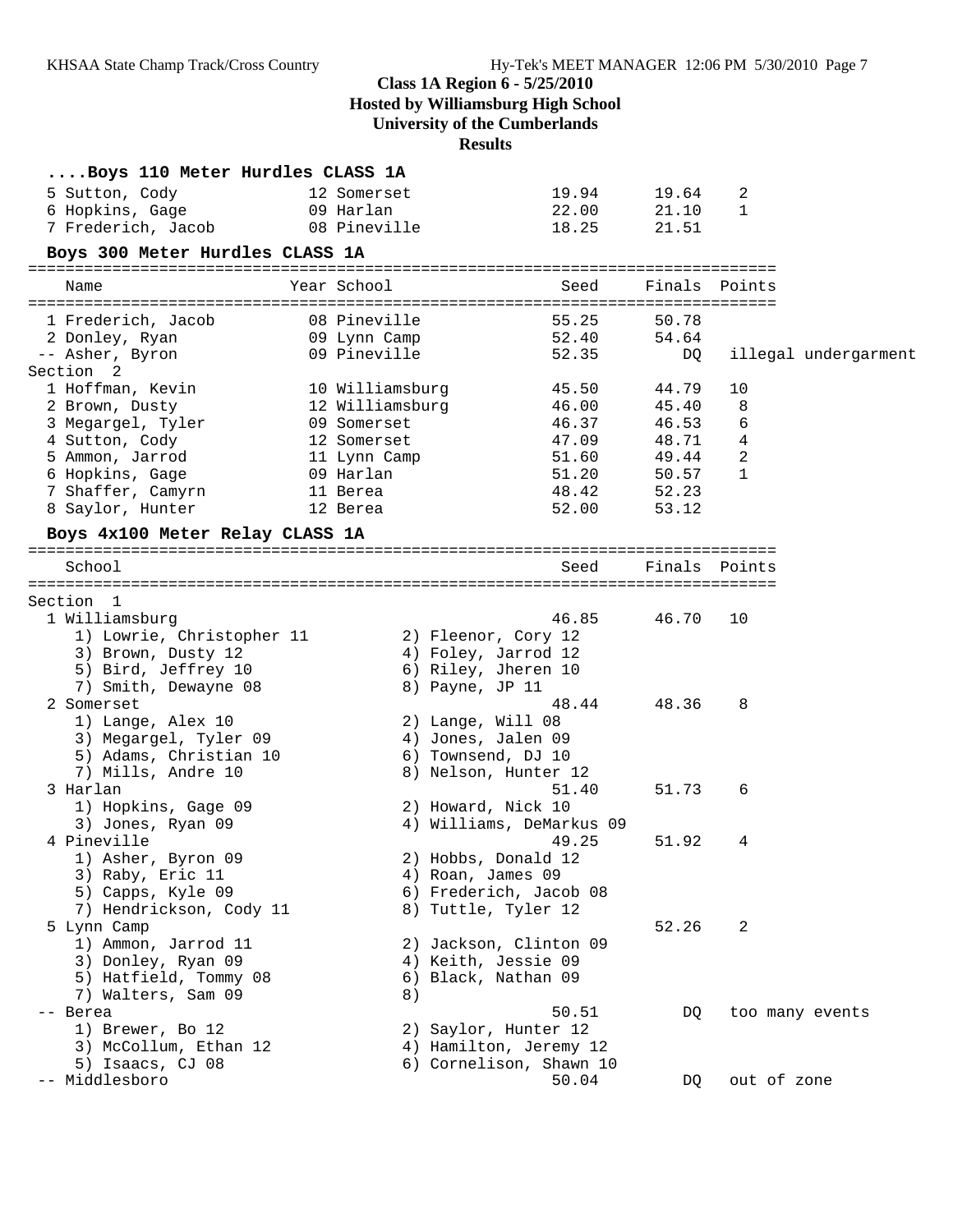### **Class 1A Region 6 - 5/25/2010**

**Hosted by Williamsburg High School**

**University of the Cumberlands**

# **Results**

| Boys 110 Meter Hurdles CLASS 1A          |                 |                                                |       |               |                      |
|------------------------------------------|-----------------|------------------------------------------------|-------|---------------|----------------------|
| 5 Sutton, Cody                           | 12 Somerset     | 19.94                                          | 19.64 | 2             |                      |
| 6 Hopkins, Gage                          | 09 Harlan       | 22.00                                          | 21.10 | 1             |                      |
| 7 Frederich, Jacob                       | 08 Pineville    | 18.25                                          | 21.51 |               |                      |
| Boys 300 Meter Hurdles CLASS 1A          |                 |                                                |       |               |                      |
|                                          |                 |                                                |       |               |                      |
| Name                                     | Year School     | Seed                                           |       | Finals Points |                      |
| 1 Frederich, Jacob                       | 08 Pineville    | 55.25                                          | 50.78 |               |                      |
| 2 Donley, Ryan                           | 09 Lynn Camp    | 52.40                                          | 54.64 |               |                      |
| -- Asher, Byron                          | 09 Pineville    | 52.35                                          | DQ    |               | illegal undergarment |
| Section <sub>2</sub>                     |                 |                                                |       |               |                      |
| 1 Hoffman, Kevin                         | 10 Williamsburg | 45.50                                          | 44.79 | 10            |                      |
| 2 Brown, Dusty                           | 12 Williamsburg | 46.00                                          | 45.40 | 8             |                      |
| 3 Megargel, Tyler                        | 09 Somerset     | 46.37                                          | 46.53 | 6             |                      |
| 4 Sutton, Cody                           | 12 Somerset     | 47.09                                          | 48.71 | 4             |                      |
| 5 Ammon, Jarrod                          | 11 Lynn Camp    | 51.60                                          | 49.44 | 2             |                      |
| 6 Hopkins, Gage                          | 09 Harlan       | 51.20                                          | 50.57 | 1             |                      |
| 7 Shaffer, Camyrn                        | 11 Berea        | 48.42                                          | 52.23 |               |                      |
| 8 Saylor, Hunter                         | 12 Berea        | 52.00                                          | 53.12 |               |                      |
| Boys 4x100 Meter Relay CLASS 1A          |                 |                                                |       |               |                      |
|                                          |                 |                                                |       |               |                      |
| School                                   |                 | Seed                                           |       | Finals Points |                      |
|                                          |                 |                                                |       |               |                      |
| Section 1                                |                 |                                                |       |               |                      |
| 1 Williamsburg                           |                 | 46.85                                          | 46.70 | 10            |                      |
| 1) Lowrie, Christopher 11                |                 | 2) Fleenor, Cory 12                            |       |               |                      |
| 3) Brown, Dusty 12                       |                 | 4) Foley, Jarrod 12                            |       |               |                      |
| 5) Bird, Jeffrey 10                      |                 | 6) Riley, Jheren 10                            |       |               |                      |
| 7) Smith, Dewayne 08                     |                 | 8) Payne, JP 11                                |       |               |                      |
| 2 Somerset                               |                 | 48.44                                          | 48.36 | 8             |                      |
| 1) Lange, Alex 10                        |                 | 2) Lange, Will 08                              |       |               |                      |
| 3) Megargel, Tyler 09                    |                 | 4) Jones, Jalen 09                             |       |               |                      |
| 5) Adams, Christian 10                   |                 | 6) Townsend, DJ 10                             |       |               |                      |
| 7) Mills, Andre 10                       |                 | 8) Nelson, Hunter 12                           |       |               |                      |
| 3 Harlan                                 |                 | 51.40                                          | 51.73 | 6             |                      |
| 1) Hopkins, Gage 09<br>3) Jones, Ryan 09 |                 | 2) Howard, Nick 10<br>4) Williams, DeMarkus 09 |       |               |                      |
| 4 Pineville                              |                 | 49.25                                          | 51.92 | 4             |                      |
| 1) Asher, Byron 09                       |                 | 2) Hobbs, Donald 12                            |       |               |                      |
| 3) Raby, Eric 11                         |                 | 4) Roan, James 09                              |       |               |                      |
| 5) Capps, Kyle 09                        |                 | 6) Frederich, Jacob 08                         |       |               |                      |
| 7) Hendrickson, Cody 11                  |                 | 8) Tuttle, Tyler 12                            |       |               |                      |
| 5 Lynn Camp                              |                 |                                                | 52.26 | 2             |                      |
| 1) Ammon, Jarrod 11                      |                 | 2) Jackson, Clinton 09                         |       |               |                      |
| 3) Donley, Ryan 09                       |                 | 4) Keith, Jessie 09                            |       |               |                      |
| 5) Hatfield, Tommy 08                    |                 | 6) Black, Nathan 09                            |       |               |                      |
| 7) Walters, Sam 09                       | 8)              |                                                |       |               |                      |
| Berea                                    |                 | 50.51                                          | DQ    |               | too many events      |
| 1) Brewer, Bo 12                         |                 | 2) Saylor, Hunter 12                           |       |               |                      |
| 3) McCollum, Ethan 12                    |                 | 4) Hamilton, Jeremy 12                         |       |               |                      |
| 5) Isaacs, CJ 08                         |                 | 6) Cornelison, Shawn 10                        |       |               |                      |
| -- Middlesboro                           |                 | 50.04                                          | DQ    | out of zone   |                      |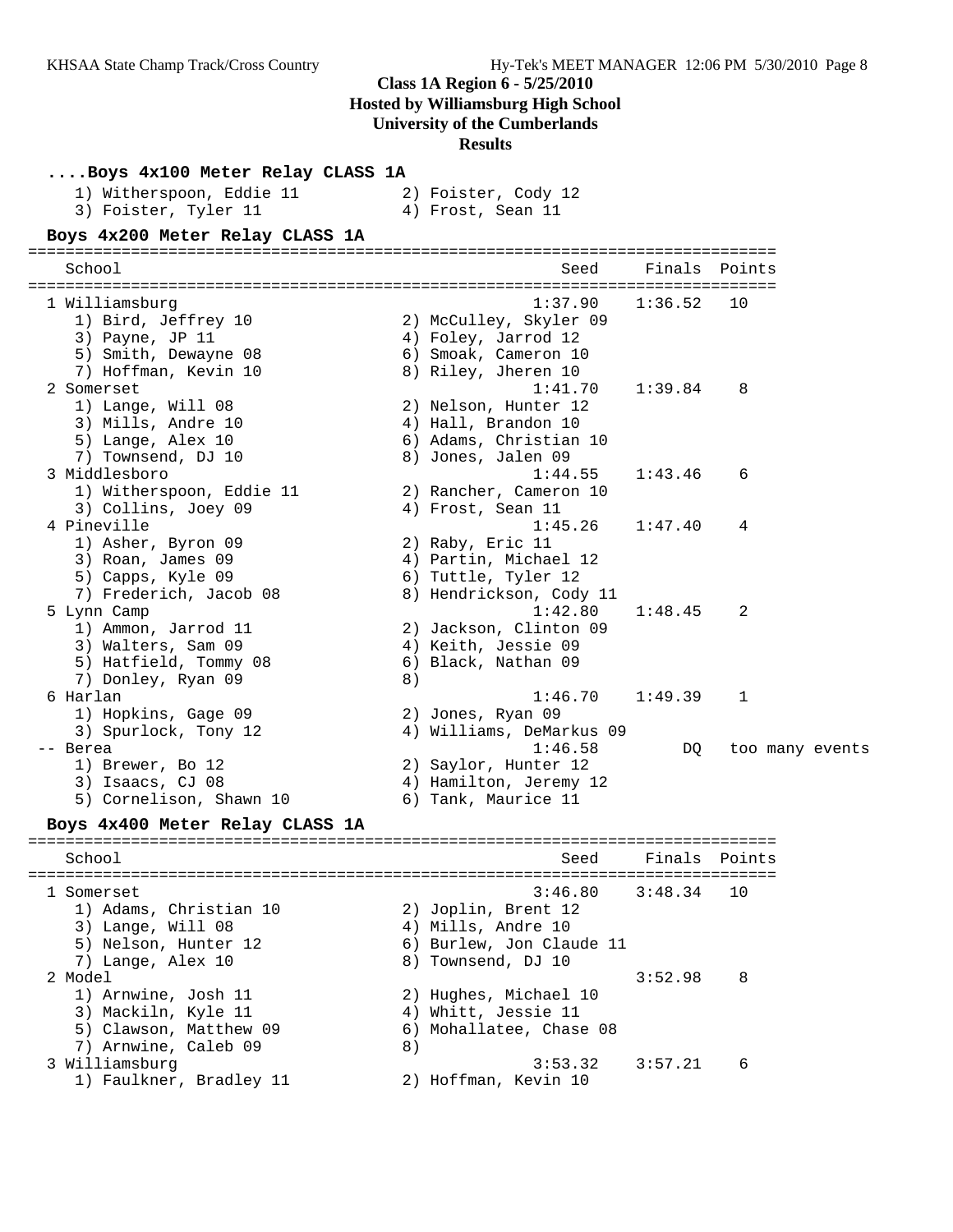## **Class 1A Region 6 - 5/25/2010**

**Hosted by Williamsburg High School**

## **University of the Cumberlands**

**Results**

| Boys 4x100 Meter Relay CLASS 1A |    |                          |               |                 |
|---------------------------------|----|--------------------------|---------------|-----------------|
| 1) Witherspoon, Eddie 11        |    | 2) Foister, Cody 12      |               |                 |
| 3) Foister, Tyler 11            |    | 4) Frost, Sean 11        |               |                 |
| Boys 4x200 Meter Relay CLASS 1A |    |                          |               |                 |
|                                 |    |                          |               |                 |
| School                          |    | Seed                     |               | Finals Points   |
| 1 Williamsburg                  |    | 1:37.90                  | 1:36.52       | 10              |
| 1) Bird, Jeffrey 10             |    | 2) McCulley, Skyler 09   |               |                 |
| 3) Payne, JP 11                 |    | 4) Foley, Jarrod 12      |               |                 |
| 5) Smith, Dewayne 08            |    | 6) Smoak, Cameron 10     |               |                 |
| 7) Hoffman, Kevin 10            |    | 8) Riley, Jheren 10      |               |                 |
| 2 Somerset                      |    | 1:41.70                  | 1:39.84       | 8               |
| 1) Lange, Will 08               |    | 2) Nelson, Hunter 12     |               |                 |
| 3) Mills, Andre 10              |    | 4) Hall, Brandon 10      |               |                 |
| 5) Lange, Alex 10               |    | 6) Adams, Christian 10   |               |                 |
| 7) Townsend, DJ 10              |    | 8) Jones, Jalen 09       |               |                 |
| 3 Middlesboro                   |    | 1:44.55                  | 1:43.46       | 6               |
| 1) Witherspoon, Eddie 11        |    | 2) Rancher, Cameron 10   |               |                 |
| 3) Collins, Joey 09             |    | 4) Frost, Sean 11        |               |                 |
| 4 Pineville                     |    | 1:45.26                  | 1:47.40       | 4               |
| 1) Asher, Byron 09              |    | 2) Raby, Eric 11         |               |                 |
| 3) Roan, James 09               |    | 4) Partin, Michael 12    |               |                 |
| 5) Capps, Kyle 09               |    | 6) Tuttle, Tyler 12      |               |                 |
| 7) Frederich, Jacob 08          |    | 8) Hendrickson, Cody 11  |               |                 |
| 5 Lynn Camp                     |    | 1:42.80                  | 1:48.45       | 2               |
| 1) Ammon, Jarrod 11             |    | 2) Jackson, Clinton 09   |               |                 |
| 3) Walters, Sam 09              |    | 4) Keith, Jessie 09      |               |                 |
| 5) Hatfield, Tommy 08           |    | 6) Black, Nathan 09      |               |                 |
| 7) Donley, Ryan 09              | 8) |                          |               |                 |
| 6 Harlan                        |    | 1:46.70                  | 1:49.39       | 1               |
| 1) Hopkins, Gage 09             |    | 2) Jones, Ryan 09        |               |                 |
| 3) Spurlock, Tony 12            |    | 4) Williams, DeMarkus 09 |               |                 |
| -- Berea                        |    | 1:46.58                  | DQ            | too many events |
| 1) Brewer, Bo 12                |    | 2) Saylor, Hunter 12     |               |                 |
| 3) Isaacs, CJ 08                |    | 4) Hamilton, Jeremy 12   |               |                 |
| 5) Cornelison, Shawn 10         |    | 6) Tank, Maurice 11      |               |                 |
| Boys 4x400 Meter Relay CLASS 1A |    |                          |               |                 |
| School                          |    | Seed                     | Finals Points |                 |
|                                 |    |                          |               |                 |
| 1 Somerset                      |    | 3:46.80                  | 3:48.34       | 10              |
| 1) Adams, Christian 10          |    | 2) Joplin, Brent 12      |               |                 |
| 3) Lange, Will 08               |    | 4) Mills, Andre 10       |               |                 |
| 5) Nelson, Hunter 12            |    | 6) Burlew, Jon Claude 11 |               |                 |
| 7) Lange, Alex 10               |    | 8) Townsend, DJ 10       |               |                 |
| 2 Model                         |    |                          | 3:52.98       | 8               |
| 1) Arnwine, Josh 11             |    | 2) Hughes, Michael 10    |               |                 |
| 3) Mackiln, Kyle 11             |    | 4) Whitt, Jessie 11      |               |                 |
| 5) Clawson, Matthew 09          |    | 6) Mohallatee, Chase 08  |               |                 |
| 7) Arnwine, Caleb 09            | 8) |                          |               |                 |
| 3 Williamsburg                  |    | 3:53.32                  | 3:57.21       | 6               |
| 1) Faulkner, Bradley 11         |    | 2) Hoffman, Kevin 10     |               |                 |